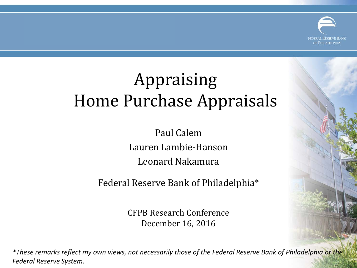

# Appraising Home Purchase Appraisals

Paul Calem Lauren Lambie-Hanson Leonard Nakamura

Federal Reserve Bank of Philadelphia\*

CFPB Research Conference December 16, 2016

*\*These remarks reflect my own views, not necessarily those of the Federal Reserve Bank of Philadelphia or the Federal Reserve System.*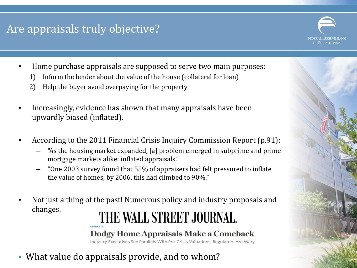#### Are appraisals truly objective?



- Home purchase appraisals are supposed to serve two main purposes:
	- 1) Inform the lender about the value of the house (collateral for loan)
	- 2) Help the buyer avoid overpaying for the property
- Increasingly, evidence has shown that many appraisals have been upwardly biased (inflated).
- According to the 2011 Financial Crisis Inquiry Commission Report (p.91):
	- "As the housing market expanded, [a] problem emerged in subprime and prime mortgage markets alike: inflated appraisals."
	- "One 2003 survey found that 55% of appraisers had felt pressured to inflate the value of homes; by 2006, this had climbed to 90%."
- Not just a thing of the past! Numerous policy and industry proposals and changes.

## THE WALL STREET JOURNAL.

#### Dodgy Home Appraisals Make a Comeback

Industry Executives See Parallels With Pre-Crisis Valuations; Regulators Are Wary

• What value do appraisals provide, and to whom?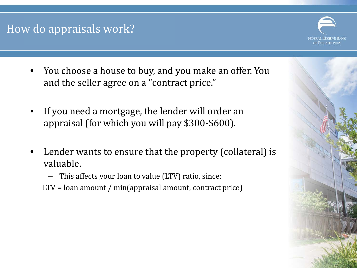#### How do appraisals work?



- You choose a house to buy, and you make an offer. You and the seller agree on a "contract price."
- If you need a mortgage, the lender will order an appraisal (for which you will pay \$300-\$600).
- Lender wants to ensure that the property (collateral) is valuable.
	- This affects your loan to value (LTV) ratio, since:
	- LTV = loan amount / min(appraisal amount, contract price)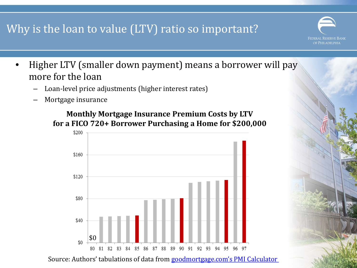## Why is the loan to value (LTV) ratio so important?

• Higher LTV (smaller down payment) means a borrower will pay more for the loan

**FEDERAL RESERVE BANK** DE PHILADELPHIA

- Loan-level price adjustments (higher interest rates)
- Mortgage insurance





Source: Authors' tabulations of data from [goodmortgage.com's](http://www.goodmortgage.com/Calculators/PMI.html) [PMI Calculator](http://www.goodmortgage.com/Calculators/PMI.html)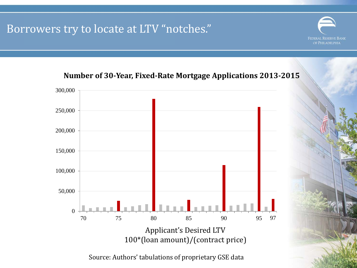#### Borrowers try to locate at LTV "notches."



**Number of 30-Year, Fixed-Rate Mortgage Applications 2013-2015**

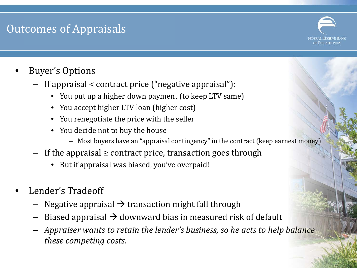## Outcomes of Appraisals



- Buyer's Options
	- If appraisal < contract price ("negative appraisal"):
		- You put up a higher down payment (to keep LTV same)
		- You accept higher LTV loan (higher cost)
		- You renegotiate the price with the seller
		- You decide not to buy the house
			- Most buyers have an "appraisal contingency" in the contract (keep earnest money)
	- If the appraisal ≥ contract price, transaction goes through
		- But if appraisal was biased, you've overpaid!
- Lender's Tradeoff
	- Negative appraisal  $\rightarrow$  transaction might fall through
	- Biased appraisal  $\rightarrow$  downward bias in measured risk of default
	- *Appraiser wants to retain the lender's business, so he acts to help balance these competing costs.*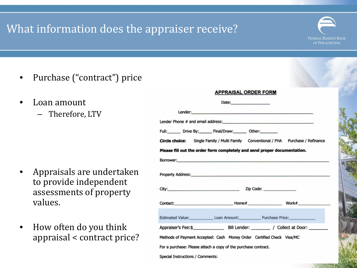## What information does the appraiser receive?

**FEDERAL RESERVE BANK** OF PHILADELPHIA

- Purchase ("contract") price
- Loan amount
	- Therefore, LTV

- Appraisals are undertaken to provide independent assessments of property values.
- How often do you think appraisal < contract price?

|                                                                                                                                                                                                                                    | <b>APPRAISAL ORDER FORM</b> |  |
|------------------------------------------------------------------------------------------------------------------------------------------------------------------------------------------------------------------------------------|-----------------------------|--|
|                                                                                                                                                                                                                                    |                             |  |
| Lender: <b>Example 2008</b>                                                                                                                                                                                                        |                             |  |
| Lender Phone # and email address: North American Communication of the American Communication of the American Communication of the American Communication of the American Communication of the American Communication of the Am     |                             |  |
| Full: Drive By: Final/Draw: Other:                                                                                                                                                                                                 |                             |  |
| Circle choice: Single Family / Multi Family Conventional / FHA Purchase / Refinance                                                                                                                                                |                             |  |
| Please fill out the order form completely and send proper documentation.                                                                                                                                                           |                             |  |
| Borrower: <b>Example 2018 Contract 2018 Contract 2018 Contract 2018 Contract 2018</b>                                                                                                                                              |                             |  |
| <b>Property Address:</b> No. 2008. The Contract of the Contract of the Contract of the Contract of the Contract of the Contract of the Contract of the Contract of the Contract of the Contract of the Contract of the Contract of |                             |  |
|                                                                                                                                                                                                                                    |                             |  |
|                                                                                                                                                                                                                                    |                             |  |
| Estimated Value: Loan Amount: Purchase Price:                                                                                                                                                                                      |                             |  |
|                                                                                                                                                                                                                                    |                             |  |
| Methods of Payment Accepted: Cash Money Order Certified Check Visa/MC                                                                                                                                                              |                             |  |
| For a purchase: Please attach a copy of the purchase contract.                                                                                                                                                                     |                             |  |

Special Instructions / Comments: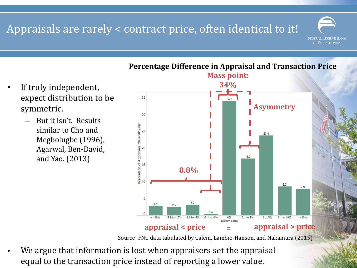#### Appraisals are rarely < contract price, often identical to it!

- If truly independent, expect distribution to be symmetric.
	- But it isn't. Results similar to Cho and Megbolugbe (1996), Agarwal, Ben-David, and Yao. (2013)



#### **Percentage Difference in Appraisal and Transaction Price**

**FEDERAL RESERVE BANK** OF PHILADELPHIA

Source: FNC data tabulated by Calem, Lambie-Hanson, and Nakamura (2015)

We argue that information is lost when appraisers set the appraisal equal to the transaction price instead of reporting a lower value.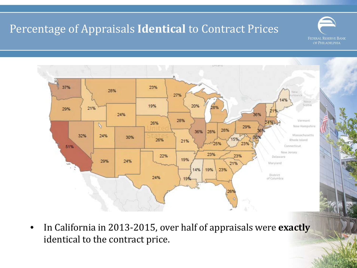## Percentage of Appraisals **Identical** to Contract Prices





• In California in 2013-2015, over half of appraisals were **exactly** identical to the contract price.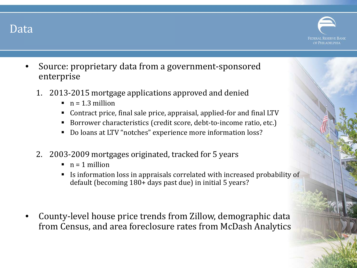#### Data



- Source: proprietary data from a government-sponsored enterprise
	- 1. 2013-2015 mortgage applications approved and denied
		- $n = 1.3$  million
		- Contract price, final sale price, appraisal, applied-for and final LTV
		- Borrower characteristics (credit score, debt-to-income ratio, etc.)
		- Do loans at LTV "notches" experience more information loss?
	- 2. 2003-2009 mortgages originated, tracked for 5 years
		- $n = 1$  million
		- Is information loss in appraisals correlated with increased probability of default (becoming 180+ days past due) in initial 5 years?
- County-level house price trends from Zillow, demographic data from Census, and area foreclosure rates from McDash Analytics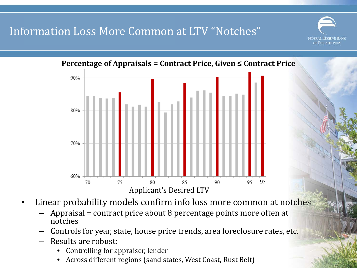#### Information Loss More Common at LTV "Notches"





- Linear probability models confirm info loss more common at notches
	- Appraisal = contract price about 8 percentage points more often at notches
	- Controls for year, state, house price trends, area foreclosure rates, etc.
	- Results are robust:
		- Controlling for appraiser, lender
		- Across different regions (sand states, West Coast, Rust Belt)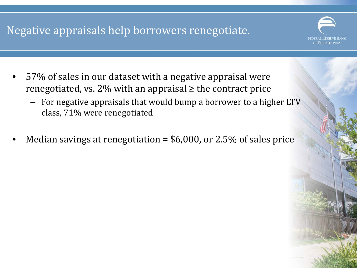## Negative appraisals help borrowers renegotiate.

FEDERAL RESERVE BANK de Philadelphia

- 57% of sales in our dataset with a negative appraisal were renegotiated, vs. 2% with an appraisal  $\geq$  the contract price
	- For negative appraisals that would bump a borrower to a higher LTV class, 71% were renegotiated
- Median savings at renegotiation =  $$6,000$ , or 2.5% of sales price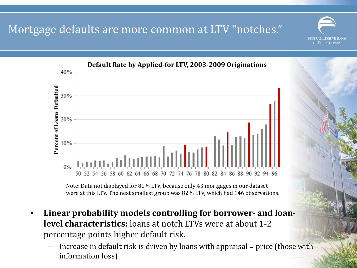Mortgage defaults are more common at LTV "notches."



Note: Data not displayed for 81% LTV, because only 43 mortgages in our dataset were at this LTV. The next smallest group was 82% LTV, which had 146 observations.

- **Linear probability models controlling for borrower- and loanlevel characteristics:** loans at notch LTVs were at about 1-2 percentage points higher default risk.
	- Increase in default risk is driven by loans with appraisal = price (those with information loss)

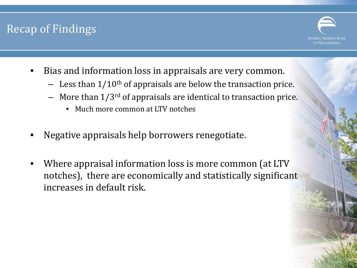#### Recap of Findings



- Bias and information loss in appraisals are very common.
	- Less than  $1/10^{th}$  of appraisals are below the transaction price.
	- More than  $1/3^{rd}$  of appraisals are identical to transaction price.
		- Much more common at LTV notches
- Negative appraisals help borrowers renegotiate.
- Where appraisal information loss is more common (at LTV notches), there are economically and statistically significant increases in default risk.